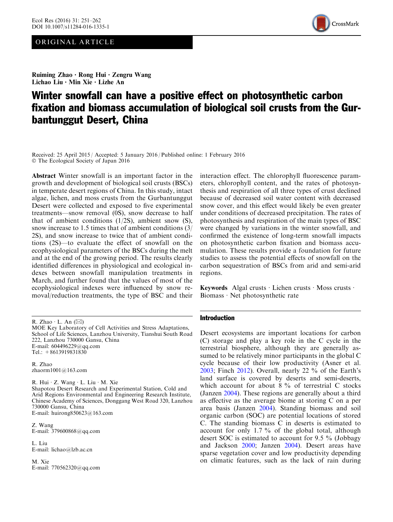# ORIGINAL ARTICLE



Ruiming Zhao • Rong Hui • Zengru Wang Lichao Liu • Min Xie • Lizhe An

# Winter snowfall can have a positive effect on photosynthetic carbon fixation and biomass accumulation of biological soil crusts from the Gurbantunggut Desert, China

Received: 25 April 2015 / Accepted: 5 January 2016 / Published online: 1 February 2016 - The Ecological Society of Japan 2016

Abstract Winter snowfall is an important factor in the growth and development of biological soil crusts (BSCs) in temperate desert regions of China. In this study, intact algae, lichen, and moss crusts from the Gurbantunggut Desert were collected and exposed to five experimental treatments—snow removal (0S), snow decrease to half that of ambient conditions (1/2S), ambient snow (S), snow increase to 1.5 times that of ambient conditions (3/ 2S), and snow increase to twice that of ambient conditions (2S)—to evaluate the effect of snowfall on the ecophysiological parameters of the BSCs during the melt and at the end of the growing period. The results clearly identified differences in physiological and ecological indexes between snowfall manipulation treatments in March, and further found that the values of most of the ecophysiological indexes were influenced by snow removal/reduction treatments, the type of BSC and their

MOE Key Laboratory of Cell Activities and Stress Adaptations, School of Life Sciences, Lanzhou University, Tianshui South Road 222, Lanzhou 730000 Gansu, China E-mail: 604496229@qq.com Tel.: +8613919831830

R. Zhao zhaorm1001@163.com

R. Hui  $\cdot$  Z. Wang  $\cdot$  L. Liu  $\cdot$  M. Xie Shapotou Desert Research and Experimental Station, Cold and Arid Regions Environmental and Engineering Research Institute, Chinese Academy of Sciences, Donggang West Road 320, Lanzhou 730000 Gansu, China E-mail: huirong850623@163.com

Z. Wang E-mail: 379600868@qq.com

L. Liu E-mail: lichao@lzb.ac.cn

M. Xie E-mail: 770562320@qq.com

interaction effect. The chlorophyll fluorescence parameters, chlorophyll content, and the rates of photosynthesis and respiration of all three types of crust declined because of decreased soil water content with decreased snow cover, and this effect would likely be even greater under conditions of decreased precipitation. The rates of photosynthesis and respiration of the main types of BSC were changed by variations in the winter snowfall, and confirmed the existence of long-term snowfall impacts on photosynthetic carbon fixation and biomass accumulation. These results provide a foundation for future studies to assess the potential effects of snowfall on the carbon sequestration of BSCs from arid and semi-arid regions.

Keywords Algal crusts  $\cdot$  Lichen crusts  $\cdot$  Moss crusts  $\cdot$ Biomass  $\cdot$  Net photosynthetic rate

#### Introduction

Desert ecosystems are important locations for carbon (C) storage and play a key role in the C cycle in the terrestrial biosphere, although they are generally assumed to be relatively minor participants in the global C cycle because of their low productivity (Asner et al. [2003;](#page-9-0) Finch [2012](#page-10-0)). Overall, nearly 22 % of the Earth's land surface is covered by deserts and semi-deserts, which account for about  $8\%$  of terrestrial C stocks (Janzen [2004\)](#page-10-0). These regions are generally about a third as effective as the average biome at storing C on a per area basis (Janzen [2004](#page-10-0)). Standing biomass and soil organic carbon (SOC) are potential locations of stored C. The standing biomass C in deserts is estimated to account for only 1.7 % of the global total, although desert SOC is estimated to account for 9.5 % (Jobbagy and Jackson [2000;](#page-10-0) Janzen [2004\)](#page-10-0). Desert areas have sparse vegetation cover and low productivity depending on climatic features, such as the lack of rain during

R. Zhao  $\cdot$  L. An  $(\boxtimes)$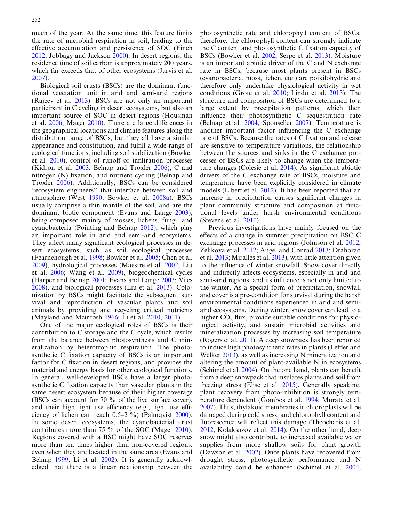much of the year. At the same time, this feature limits the rate of microbial respiration in soil, leading to the effective accumulation and persistence of SOC (Finch [2012](#page-10-0); Jobbagy and Jackson [2000](#page-10-0)). In desert regions, the residence time of soil carbon is approximately 200 years, which far exceeds that of other ecosystems (Jarvis et al. [2007](#page-10-0)).

Biological soil crusts (BSCs) are the dominant functional vegetation unit in arid and semi-arid regions (Rajeev et al. [2013\)](#page-11-0). BSCs are not only an important participant in C cycling in desert ecosystems, but also an important source of SOC in desert regions (Housman et al. [2006](#page-10-0); Mager [2010](#page-11-0)). There are large differences in the geographical locations and climate features along the distribution range of BSCs, but they all have a similar appearance and constitution, and fulfill a wide range of ecological functions, including soil stabilization (Bowker et al. [2010\)](#page-10-0), control of runoff or infiltration processes (Kidron et al. [2003;](#page-10-0) Belnap and Troxler [2006\)](#page-9-0), C and nitrogen (N) fixation, and nutrient cycling (Belnap and Troxler [2006](#page-9-0)). Additionally, BSCs can be considered ''ecosystem engineers'' that interface between soil and atmosphere (West [1990;](#page-11-0) Bowker et al. [2008a\)](#page-9-0). BSCs usually comprise a thin mantle of the soil, and are the dominant biotic component (Evans and Lange [2003\)](#page-10-0), being composed mainly of mosses, lichens, fungi, and cyanobacteria (Pointing and Belnap [2012](#page-11-0)), which play an important role in arid and semi-arid ecosystems. They affect many significant ecological processes in desert ecosystems, such as soil ecological processes (Fearnehough et al. [1998](#page-10-0); Bowker et al. [2005](#page-9-0); Chen et al. [2009](#page-10-0)), hydrological processes (Maestre et al. [2002](#page-10-0); Liu et al. [2006;](#page-10-0) Wang et al. [2009\)](#page-11-0), biogeochemical cycles (Harper and Belnap [2001](#page-10-0); Evans and Lange [2003;](#page-10-0) Viles [2008](#page-11-0)), and biological processes (Liu et al. [2013](#page-10-0)). Colonization by BSCs might facilitate the subsequent survival and reproduction of vascular plants and soil animals by providing and recycling critical nutrients (Mayland and Mcintosh [1966;](#page-11-0) Li et al. [2010](#page-10-0), [2011\)](#page-10-0).

One of the major ecological roles of BSCs is their contribution to C storage and the C cycle, which results from the balance between photosynthesis and C mineralization by heterotrophic respiration. The photosynthetic C fixation capacity of BSCs is an important factor for C fixation in desert regions, and provides the material and energy basis for other ecological functions. In general, well-developed BSCs have a larger photosynthetic C fixation capacity than vascular plants in the same desert ecosystem because of their higher coverage (BSCs can account for 70 % of the live surface cover), and their high light use efficiency (e.g., light use efficiency of lichen can reach 0.5–2 %) (Palmqvist [2000\)](#page-11-0). In some desert ecosystems, the cyanobacterial crust contributes more than 75 % of the SOC (Mager [2010\)](#page-11-0). Regions covered with a BSC might have SOC reserves more than ten times higher than non-covered regions, even when they are located in the same area (Evans and Belnap [1999;](#page-10-0) Li et al. [2002\)](#page-10-0). It is generally acknowledged that there is a linear relationship between the photosynthetic rate and chlorophyll content of BSCs; therefore, the chlorophyll content can strongly indicate the C content and photosynthetic C fixation capacity of BSCs (Bowker et al. [2002](#page-9-0); Serpe et al. [2013\)](#page-11-0). Moisture is an important abiotic driver of the C and N exchange rate in BSCs, because most plants present in BSCs (cyanobacteria, moss, lichen, etc.) are poikilohydric and therefore only undertake physiological activity in wet conditions (Grote et al. [2010](#page-10-0); Lindo et al. [2013\)](#page-10-0). The structure and composition of BSCs are determined to a large extent by precipitation patterns, which then influence their photosynthetic C sequestration rate (Belnap et al. [2004;](#page-9-0) Sponseller [2007](#page-11-0)). Temperature is another important factor influencing the C exchange rate of BSCs. Because the rates of C fixation and release are sensitive to temperature variations, the relationship between the sources and sinks in the C exchange processes of BSCs are likely to change when the temperature changes (Colesie et al. [2014](#page-10-0)). As significant abiotic drivers of the C exchange rate of BSCs, moisture and temperature have been explicitly considered in climate models (Elbert et al. [2012](#page-10-0)). It has been reported that an increase in precipitation causes significant changes in plant community structure and composition at functional levels under harsh environmental conditions (Stevens et al. [2010](#page-11-0)).

Previous investigations have mainly focused on the effects of a change in summer precipitation on BSC C exchange processes in arid regions (Johnson et al. [2012](#page-10-0); Zelikova et al. [2012;](#page-11-0) Angel and Conrad [2013](#page-9-0); Drahorad et al. [2013](#page-10-0); Miralles et al. [2013\)](#page-11-0), with little attention given to the influence of winter snowfall. Snow cover directly and indirectly affects ecosystems, especially in arid and semi-arid regions, and its influence is not only limited to the winter. As a special form of precipitation, snowfall and cover is a pre-condition for survival during the harsh environmental conditions experienced in arid and semiarid ecosystems. During winter, snow cover can lead to a higher  $CO<sub>2</sub>$  flux, provide suitable conditions for physiological activity, and sustain microbial activities and mineralization processes by increasing soil temperature (Rogers et al. [2011\)](#page-11-0). A deep snowpack has been reported to induce high photosynthetic rates in plants (Leffler and Welker [2013](#page-10-0)), as well as increasing N mineralization and altering the amount of plant-available N in ecosystems (Schimel et al. [2004\)](#page-11-0). On the one hand, plants can benefit from a deep snowpack that insulates plants and soil from freezing stress (Elise et al. [2015\)](#page-10-0). Generally speaking, plant recovery from photo-inhibition is strongly temperature dependent (Gombos et al. [1994](#page-10-0); Murata et al. [2007\)](#page-11-0). Thus, thylakoid membranes in chloroplasts will be damaged during cold stress, and chlorophyll content and fluorescence will reflect this damage (Theocharis et al. [2012;](#page-11-0) Kolaksazov et al. [2014\)](#page-10-0). On the other hand, deep snow might also contribute to increased available water supplies from more shallow soils for plant growth (Dawson et al. [2002\)](#page-10-0). Once plants have recovered from drought stress, photosynthetic performance and N availability could be enhanced (Schimel et al. [2004](#page-11-0);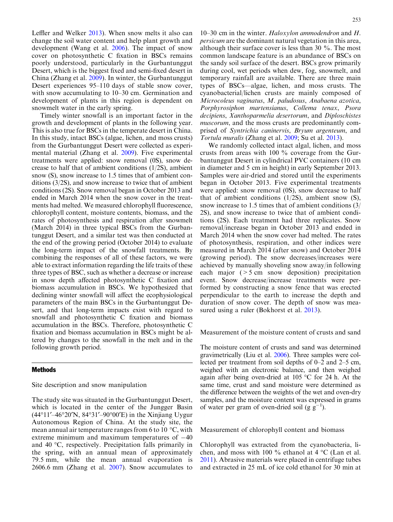Leffler and Welker [2013\)](#page-10-0). When snow melts it also can change the soil water content and help plant growth and development (Wang et al. [2006\)](#page-11-0). The impact of snow cover on photosynthetic C fixation in BSCs remains poorly understood, particularly in the Gurbantunggut Desert, which is the biggest fixed and semi-fixed desert in China (Zhang et al. [2009\)](#page-11-0). In winter, the Gurbantunggut Desert experiences 95–110 days of stable snow cover, with snow accumulating to 10–30 cm. Germination and development of plants in this region is dependent on snowmelt water in the early spring.

Timely winter snowfall is an important factor in the growth and development of plants in the following year. This is also true for BSCs in the temperate desert in China. In this study, intact BSCs (algae, lichen, and moss crusts) from the Gurbantunggut Desert were collected as experimental material (Zhang et al. [2009\)](#page-11-0). Five experimental treatments were applied: snow removal (0S), snow decrease to half that of ambient conditions (1/2S), ambient snow (S), snow increase to 1.5 times that of ambient conditions (3/2S), and snow increase to twice that of ambient conditions (2S). Snow removal began in October 2013 and ended in March 2014 when the snow cover in the treatments had melted. We measured chlorophyll fluorescence, chlorophyll content, moisture contents, biomass, and the rates of photosynthesis and respiration after snowmelt (March 2014) in three typical BSCs from the Gurbantunggut Desert, and a similar test was then conducted at the end of the growing period (October 2014) to evaluate the long-term impact of the snowfall treatments. By combining the responses of all of these factors, we were able to extract information regarding the life traits of these three types of BSC, such as whether a decrease or increase in snow depth affected photosynthetic C fixation and biomass accumulation in BSCs. We hypothesized that declining winter snowfall will affect the ecophysiological parameters of the main BSCs in the Gurbantunggut Desert, and that long-term impacts exist with regard to snowfall and photosynthetic C fixation and biomass accumulation in the BSCs. Therefore, photosynthetic C fixation and biomass accumulation in BSCs might be altered by changes to the snowfall in the melt and in the following growth period.

#### Methods

Site description and snow manipulation

The study site was situated in the Gurbantunggut Desert, which is located in the center of the Jungger Basin  $(44^{\circ}11' - 46^{\circ}20'N, 84^{\circ}31' - 90^{\circ}00'E)$  in the Xinjiang Uygur Autonomous Region of China. At the study site, the mean annual air temperature ranges from 6 to 10  $\degree$ C, with extreme minimum and maximum temperatures of  $-40$ and 40  $\degree$ C, respectively. Precipitation falls primarily in the spring, with an annual mean of approximately 79.5 mm, while the mean annual evaporation is 2606.6 mm (Zhang et al. [2007](#page-11-0)). Snow accumulates to

10–30 cm in the winter. Haloxylon ammodendron and  $H$ . persicum are the dominant natural vegetation in this area, although their surface cover is less than 30 %. The most common landscape feature is an abundance of BSCs on the sandy soil surface of the desert. BSCs grow primarily during cool, wet periods when dew, fog, snowmelt, and temporary rainfall are available. There are three main types of BSCs—algae, lichen, and moss crusts. The cyanobacterial/lichen crusts are mainly composed of Microcoleus vaginatus, M. paludosus, Anabaena azotica, Porphyrosiphon martensianus, Collema tenax, Psora decipiens, Xanthoparmelia desertorum, and Diploschistes muscorum, and the moss crusts are predominantly comprised of Syntrichia caninervis, Bryum argenteum, and Tortula muralis (Zhang et al. [2009;](#page-11-0) Su et al. [2013\)](#page-11-0).

We randomly collected intact algal, lichen, and moss crusts from areas with 100 % coverage from the Gurbantunggut Desert in cylindrical PVC containers (10 cm in diameter and 5 cm in height) in early September 2013. Samples were air-dried and stored until the experiments began in October 2013. Five experimental treatments were applied: snow removal (0S), snow decrease to half that of ambient conditions  $(1/2S)$ , ambient snow  $(S)$ , snow increase to 1.5 times that of ambient conditions (3/ 2S), and snow increase to twice that of ambient conditions (2S). Each treatment had three replicates. Snow removal/increase began in October 2013 and ended in March 2014 when the snow cover had melted. The rates of photosynthesis, respiration, and other indices were measured in March 2014 (after snow) and October 2014 (growing period). The snow decreases/increases were achieved by manually shoveling snow away/in following each major  $($ > 5 cm snow deposition) precipitation event. Snow decrease/increase treatments were performed by constructing a snow fence that was erected perpendicular to the earth to increase the depth and duration of snow cover. The depth of snow was mea-sured using a ruler (Bokhorst et al. [2013](#page-9-0)).

Measurement of the moisture content of crusts and sand

The moisture content of crusts and sand was determined gravimetrically (Liu et al. [2006\)](#page-10-0). Three samples were collected per treatment from soil depths of 0–2 and 2–5 cm, weighed with an electronic balance, and then weighed again after being oven-dried at  $105 \degree C$  for 24 h. At the same time, crust and sand moisture were determined as the difference between the weights of the wet and oven-dry samples, and the moisture content was expressed in grams of water per gram of oven-dried soil (g  $g^{-1}$ ).

Measurement of chlorophyll content and biomass

Chlorophyll was extracted from the cyanobacteria, lichen, and moss with 100  $\%$  ethanol at 4  $\degree$ C (Lan et al. [2011\)](#page-10-0). Abrasive materials were placed in centrifuge tubes and extracted in 25 mL of ice cold ethanol for 30 min at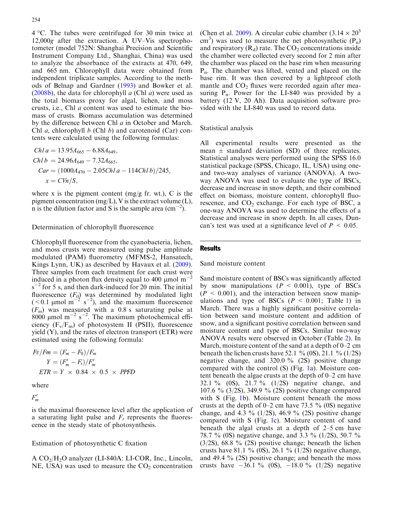$4^{\circ}$ C. The tubes were centrifuged for 30 min twice at 12,000g after the extraction. A UV–Vis spectrophotometer (model 752N: Shanghai Precision and Scientific Instrument Company Ltd., Shanghai, China) was used to analyze the absorbance of the extracts at 470, 649, and 665 nm. Chlorophyll data were obtained from independent triplicate samples. According to the methods of Belnap and Gardner ([1993](#page-9-0)) and Bowker et al. ([2008b](#page-10-0)), the data for chlorophyll  $a$  (Chl  $a$ ) were used as the total biomass proxy for algal, lichen, and moss crusts, i.e., Chl a content was used to estimate the biomass of crusts. Biomass accumulation was determined by the difference between Chl a in October and March. Chl *a*, chlorophyll *b* (Chl *b*) and carotenoid (Car) contents were calculated using the following formulas:

$$
Ch1 a = 13.95A_{665} - 6.88A_{649},
$$
  
\n
$$
Ch1 b = 24.96A_{649} - 7.32A_{665},
$$
  
\n
$$
Car = (1000A_{470} - 2.05Ch1a - 114Ch1b)/245,
$$
  
\n
$$
x = C V n / S,
$$

where x is the pigment content (mg/g fr. wt.),  $C$  is the pigment concentration (mg/L), V is the extract volume  $(L)$ , n is the dilution factor and S is the sample area  $\rm (cm^{-2})$ .

Determination of chlorophyll fluorescence

Chlorophyll fluorescence from the cyanobacteria, lichen, and moss crusts were measured using pulse amplitude modulated (PAM) fluorometry (MFMS-2, Hansatech, Kings Lynn, UK) as described by Havaux et al. ([2009\)](#page-10-0). Three samples from each treatment for each crust were induced in a photon flux density equal to 400  $\mu$ mol m<sup>-2</sup>  $s^{-2}$  for 5 s, and then dark-induced for 20 min. The initial fluorescence  $(F_0)$  was determined by modulated light  $(< 0.1 \text{ }\mu\text{mol m}^{-2} \text{ s}^{-2})$ , and the maximum fluorescence  $(F_m)$  was measured with a 0.8 s saturating pulse at  $8000 \mu$ mol m<sup>-2</sup> s<sup>-2</sup>. The maximum photochemical efficiency  $(F_v/F_m)$  of photosystem II (PSII), fluorescence yield (Y), and the rates of electron transport (ETR) were estimated using the following formula:

$$
Fv/Fm = (F_m - F_0)/F_m
$$
  
\n
$$
Y = (F'_m - F_t)/F'_m
$$
  
\n
$$
ETR = Y \times 0.84 \times 0.5 \times PPFD
$$

where

 $F'_m$ 

is the maximal fluorescence level after the application of a saturating light pulse and  $F_t$  represents the fluorescence in the steady state of photosynthesis.

## Estimation of photosynthetic C fixation

A CO<sub>2</sub>/H<sub>2</sub>O analyzer (LI-840A: LI-COR, Inc., Lincoln, NE, USA) was used to measure the  $CO<sub>2</sub>$  concentration

(Chen et al. [2009](#page-10-0)). A circular cubic chamber  $(3.14 \times 20^3)$  $\text{cm}^3$ ) was used to measure the net photosynthetic (P<sub>n</sub>) and respiratory  $(R_d)$  rate. The CO<sub>2</sub> concentrations inside the chamber were collected every second for 2 min after the chamber was placed on the base rim when measuring Pn. The chamber was lifted, vented and placed on the base rim. It was then covered by a lightproof cloth mantle and  $CO<sub>2</sub>$  fluxes were recorded again after measuring  $P_n$ . Power for the LI-840 was provided by a battery (12 V, 20 Ah). Data acquisition software provided with the LI-840 was used to record data.

Statistical analysis

All experimental results were presented as the mean  $\pm$  standard deviation (SD) of three replicates. Statistical analyses were performed using the SPSS 16.0 statistical package (SPSS, Chicago, IL, USA) using oneand two-way analyses of variance (ANOVA). A twoway ANOVA was used to evaluate the type of BSCs, decrease and increase in snow depth, and their combined effect on biomass, moisture content, chlorophyll fluorescence, and  $CO<sub>2</sub>$  exchange. For each type of BSC, a one-way ANOVA was used to determine the effects of a decrease and increase in snow depth. In all cases, Duncan's test was used at a significance level of  $P < 0.05$ .

## **Results**

#### Sand moisture content

Sand moisture content of BSCs was significantly affected by snow manipulations  $(P < 0.001)$ , type of BSCs  $(P < 0.001)$ , and the interaction between snow manipulations and type of BSCs  $(P \le 0.001$  $(P \le 0.001$ ; Table 1) in March. There was a highly significant positive correlation between sand moisture content and addition of snow, and a significant positive correlation between sand moisture content and type of BSCs. Similar two-way ANOVA results were observed in October (Table [2](#page-4-0)). In March, moisture content of the sand at a depth of 0–2 cm beneath the lichen crusts have 52.1 % (0S), 21.1 % (1/2S) negative change, and 320.0 % (2S) positive change compared with the control (S) (Fig. [1a](#page-5-0)). Moisture content beneath the algae crusts at the depth of 0–2 cm have 32.1 % (0S), 21.7 % (1/2S) negative change, and 107.6 % (3/2S), 349.9 % (2S) positive change compared with S (Fig. [1b](#page-5-0)). Moisture content beneath the moss crusts at the depth of  $0-2$  cm have 73.5 % (0S) negative change, and 4.3 % (1/2S), 46.9 % (2S) positive change compared with S (Fig. [1](#page-5-0)c). Moisture content of sand beneath the algal crusts at a depth of 2–5 cm have 78.7 % (0S) negative change, and 3.3 % (1/2S), 50.7 %  $(3/2S)$ , 68.8 % (2S) positive change; beneath the lichen crusts have 81.1 % (0S), 26.1 % (1/2S) negative change, and 49.4 % (2S) positive change; and beneath the moss crusts have  $-36.1\%$  (0S),  $-18.0\%$  (1/2S) negative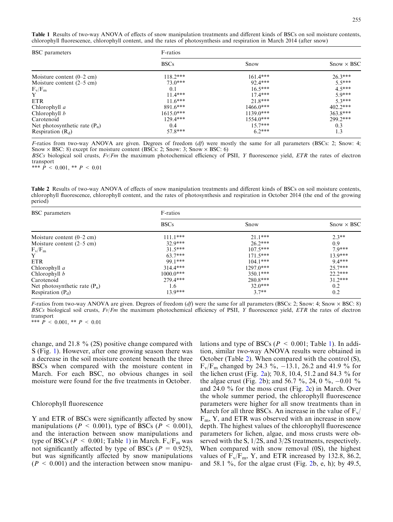<span id="page-4-0"></span>Table 1 Results of two-way ANOVA of effects of snow manipulation treatments and different kinds of BSCs on soil moisture contents, chlorophyll fluorescence, chlorophyll content, and the rates of photosynthesis and respiration in March 2014 (after snow)

| BSC parameters                      | F-ratios    |             |                   |  |
|-------------------------------------|-------------|-------------|-------------------|--|
|                                     | <b>BSCs</b> | Snow        | $Show \times BSC$ |  |
| Moisture content $(0-2$ cm)         | $118.2***$  | $161.4***$  | $26.3***$         |  |
| Moisture content $(2-5 \text{ cm})$ | $73.0***$   | 92.4***     | $55***$           |  |
| $F_v/F_m$                           | 0.1         | $16.5***$   | $4.5***$          |  |
| Y                                   | $11.4***$   | $17.4***$   | $50***$           |  |
| <b>ETR</b>                          | $11.6***$   | $21.8***$   | $5.3***$          |  |
| Chlorophyll a                       | $891.6***$  | $1466.0***$ | $402.2***$        |  |
| Chlorophyll $b$                     | $1615.0***$ | $1139.0***$ | $363.8***$        |  |
| Carotenoid                          | $129.4***$  | $1554.0***$ | 299.2***          |  |
| Net photosynthetic rate $(P_n)$     | 0.4         | $15.7***$   | 0.3               |  |
| Respiration $(R_d)$                 | $57.8***$   | $6.2***$    | 1.3               |  |

F-ratios from two-way ANOVA are given. Degrees of freedom  $(df)$  were mostly the same for all parameters (BSCs: 2; Snow: 4; Snow  $\times$  BSC: 8) except for moisture content (BSCs: 2; Snow: 3; Snow  $\times$  BSC: 6)

BSCs biological soil crusts,  $Fv/Fm$  the maximum photochemical efficiency of PSII, Y fluorescence yield, ETR the rates of electron transport

\*\*\*  $\hat{P}$  < 0.001, \*\*  $P$  < 0.01

Table 2 Results of two-way ANOVA of effects of snow manipulation treatments and different kinds of BSCs on soil moisture contents, chlorophyll fluorescence, chlorophyll content, and the rates of photosynthesis and respiration in October 2014 (the end of the growing period)

| BSC parameters                      | F-ratios    |             |                   |  |
|-------------------------------------|-------------|-------------|-------------------|--|
|                                     | <b>BSCs</b> | Snow        | $Show \times BSC$ |  |
| Moisture content $(0-2$ cm)         | $111.1***$  | $21.1***$   | $2.3**$           |  |
| Moisture content $(2-5 \text{ cm})$ | $32.9***$   | $26.2***$   | 0.9               |  |
| $F_v/F_m$                           | $31.5***$   | $107.5***$  | $7.9***$          |  |
| Y                                   | $63.7***$   | $171.5***$  | $13.9***$         |  |
| <b>ETR</b>                          | 99.1***     | $104.1***$  | $9.4***$          |  |
| Chlorophyll a                       | $314.4***$  | $1297.0***$ | $25.7***$         |  |
| Chlorophyll $b$                     | $1000.0***$ | $350.1***$  | $22.2***$         |  |
| Carotenoid                          | $279.4***$  | $280.8***$  | $31.2***$         |  |
| Net photosynthetic rate $(P_n)$     | 1.6         | $32.0***$   | 0.2               |  |
| Respiration $(P_d)$                 | $13.9***$   | $3.7**$     | 0.2               |  |

F-ratios from two-way ANOVA are given. Degrees of freedom  $(df)$  were the same for all parameters (BSCs: 2; Snow: 4; Snow  $\times$  BSC: 8) BSCs biological soil crusts,  $Fv/Fm$  the maximum photochemical efficiency of PSII, Y fluorescence yield, ETR the rates of electron transport \*\*\*  $\dot{P}$  < 0.001, \*\*  $P$  < 0.01

change, and 21.8 % (2S) positive change compared with S (Fig. [1\)](#page-5-0). However, after one growing season there was a decrease in the soil moisture content beneath the three BSCs when compared with the moisture content in March. For each BSC, no obvious changes in soil moisture were found for the five treatments in October.

#### Chlorophyll fluorescence

Y and ETR of BSCs were significantly affected by snow manipulations ( $P < 0.001$ ), type of BSCs ( $P < 0.001$ ), and the interaction between snow manipulations and type of BSCs ( $P < 0.001$ ; Table 1) in March.  $F_v/F_m$  was not significantly affected by type of BSCs ( $P = 0.925$ ), but was significantly affected by snow manipulations  $(P < 0.001)$  and the interaction between snow manipulations and type of BSCs ( $P < 0.001$ ; Table 1). In addition, similar two-way ANOVA results were obtained in October (Table 2). When compared with the control (S),  $F_v/F_m$  changed by 24.3 %, -13.1, 26.2 and 41.9 % for the lichen crust (Fig. [2](#page-6-0)a); 70.8, 10.4, 51.2 and 84.3 % for the algae crust (Fig. [2b](#page-6-0)); and 56.7 %, 24, 0 %,  $-0.01$  % and 24.0 % for the moss crust (Fig. [2](#page-6-0)c) in March. Over the whole summer period, the chlorophyll fluorescence parameters were higher for all snow treatments than in March for all three BSCs. An increase in the value of  $F_v/$  $F<sub>m</sub>$ , Y, and ETR was observed with an increase in snow depth. The highest values of the chlorophyll fluorescence parameters for lichen, algae, and moss crusts were observed with the S, 1/2S, and 3/2S treatments, respectively. When compared with snow removal (0S), the highest values of  $F_v/F_m$ , Y, and ETR increased by 132.8, 86.2, and 58.1 %, for the algae crust (Fig. [2](#page-6-0)b, e, h); by 49.5,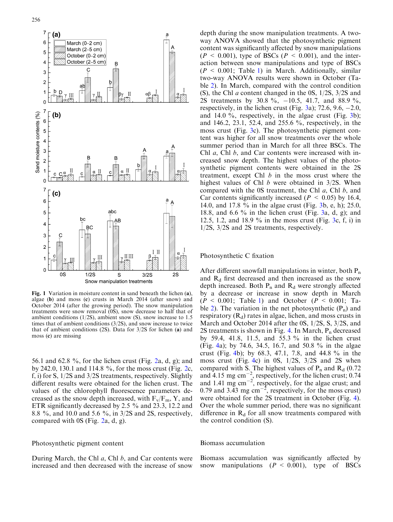<span id="page-5-0"></span>

Fig. 1 Variation in moisture content in sand beneath the lichen (a), algae (b) and moss (c) crusts in March 2014 (after snow) and October 2014 (after the growing period). The snow manipulation treatments were snow removal (0S), snow decrease to half that of ambient conditions (1/2S), ambient snow (S), snow increase to 1.5 times that of ambient conditions (3/2S), and snow increase to twice that of ambient conditions (2S). Data for 3/2S for lichen (a) and moss (c) are missing

56.1 and 62.8 %, for the lichen crust (Fig. [2a](#page-6-0), d, g); and by 242.0, 130.1 and 114.8  $\%$ , for the moss crust (Fig. [2c](#page-6-0), f, i) for S, 1/2S and 3/2S treatments, respectively. Slightly different results were obtained for the lichen crust. The values of the chlorophyll fluorescence parameters decreased as the snow depth increased, with  $F_v/F_m$ , Y, and ETR significantly decreased by 2.5 % and 23.3, 12.2 and 8.8 %, and 10.0 and 5.6 %, in 3/2S and 2S, respectively, compared with 0S (Fig. [2a](#page-6-0), d, g).

#### Photosynthetic pigment content

During March, the Chl  $a$ , Chl  $b$ , and Car contents were increased and then decreased with the increase of snow

depth during the snow manipulation treatments. A twoway ANOVA showed that the photosynthetic pigment content was significantly affected by snow manipulations  $(P < 0.001)$ , type of BSCs  $(P < 0.001)$ , and the interaction between snow manipulations and type of BSCs  $(P < 0.001$ ; Table [1\)](#page-4-0) in March. Additionally, similar two-way ANOVA results were shown in October (Table [2\)](#page-4-0). In March, compared with the control condition (S), the Chl a content changed in the 0S, 1/2S, 3/2S and 2S treatments by 30.8 %, -10.5, 41.7, and 88.9 %, respectively, in the lichen crust (Fig. [3a](#page-7-0)); 72.6, 9.6,  $-2.0$ , and 14.0  $\%$ , respectively, in the algae crust (Fig. [3](#page-7-0)b); and 146.2, 23.1, 52.4, and 255.6 %, respectively, in the moss crust (Fig. [3](#page-7-0)c). The photosynthetic pigment content was higher for all snow treatments over the whole summer period than in March for all three BSCs. The Chl a, Chl b, and Car contents were increased with increased snow depth. The highest values of the photosynthetic pigment contents were obtained in the 2S treatment, except Chl  $b$  in the moss crust where the highest values of Chl  $b$  were obtained in 3/2S. When compared with the 0S treatment, the Chl  $a$ , Chl  $b$ , and Car contents significantly increased ( $P < 0.05$ ) by 16.4, 14.0, and 17.8 % in the algae crust (Fig. [3](#page-7-0)b, e, h); 25.0, 18.8, and 6.6  $\%$  in the lichen crust (Fig. [3a](#page-7-0), d, g); and 12.5, 1.2, and 18.9 % in the moss crust (Fig. [3c](#page-7-0), f, i) in 1/2S, 3/2S and 2S treatments, respectively.

## Photosynthetic C fixation

After different snowfall manipulations in winter, both  $P_n$ and  $R_d$  first decreased and then increased as the snow depth increased. Both  $P_n$  and  $R_d$  were strongly affected by a decrease or increase in snow depth in March  $(P \le 0.001$  $(P \le 0.001$ ; Table 1) and October  $(P \le 0.001$ ; Ta-ble [2\)](#page-4-0). The variation in the net photosynthetic  $(P_n)$  and respiratory  $(R_d)$  rates in algae, lichen, and moss crusts in March and October 2014 after the 0S, 1/2S, S, 3/2S, and 2S treatments is shown in Fig. [4.](#page-8-0) In March,  $P_n$  decreased by 59.4, 41.8, 11.5, and 55.3 % in the lichen crust (Fig. [4a](#page-8-0)); by 74.6, 34.5, 16.7, and 50.8 % in the algae crust (Fig. [4b](#page-8-0)); by 68.3, 47.1, 7.8, and 44.8 % in the moss crust (Fig. [4c](#page-8-0)) in 0S, 1/2S, 3/2S and 2S when compared with S. The highest values of  $P_n$  and  $R_d$  (0.72) and  $4.15$  mg cm<sup>-2</sup>, respectively, for the lichen crust; 0.74 and 1.41 mg  $\text{cm}^{-2}$ , respectively, for the algae crust; and 0.79 and 3.43 mg  $\text{cm}^{-2}$ , respectively, for the moss crust) were obtained for the 2S treatment in October (Fig. [4\)](#page-8-0). Over the whole summer period, there was no significant difference in  $R_d$  for all snow treatments compared with the control condition (S).

## Biomass accumulation

Biomass accumulation was significantly affected by snow manipulations  $(P < 0.001)$ , type of BSCs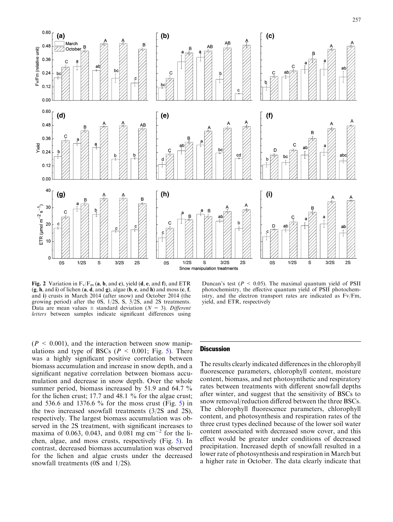<span id="page-6-0"></span>

Fig. 2 Variation in  $F_v/F_m$  (a, b, and c), yield (d, e, and f), and ETR  $(g, h, \text{ and } i)$  of lichen  $(a, d, \text{ and } g)$ , algae  $(b, e, \text{ and } h)$  and moss  $(c, f, g)$ and i) crusts in March 2014 (after snow) and October 2014 (the growing period) after the 0S, 1/2S, S, 3/2S, and 2S treatments. Data are mean values  $\pm$  standard deviation ( $N = 3$ ). Different letters between samples indicate significant differences using

Duncan's test ( $P < 0.05$ ). The maximal quantum yield of PSII photochemistry, the effective quantum yield of PSII photochemistry, and the electron transport rates are indicated as Fv/Fm, yield, and ETR, respectively

 $(P < 0.001)$ , and the interaction between snow manipulations and type of BSCs ( $P < 0.001$ ; Fig. [5](#page-8-0)). There was a highly significant positive correlation between biomass accumulation and increase in snow depth, and a significant negative correlation between biomass accumulation and decrease in snow depth. Over the whole summer period, biomass increased by 51.9 and 64.7 % for the lichen crust; 17.7 and 48.1 % for the algae crust; and 536.6 and 1376.6 % for the moss crust (Fig. [5](#page-8-0)) in the two increased snowfall treatments (3/2S and 2S), respectively. The largest biomass accumulation was observed in the 2S treatment, with significant increases to maxima of 0.063, 0.043, and 0.081 mg cm<sup>-2</sup> for the lichen, algae, and moss crusts, respectively (Fig. [5](#page-8-0)). In contrast, decreased biomass accumulation was observed for the lichen and algae crusts under the decreased snowfall treatments (0S and 1/2S).

## **Discussion**

The results clearly indicated differences in the chlorophyll fluorescence parameters, chlorophyll content, moisture content, biomass, and net photosynthetic and respiratory rates between treatments with different snowfall depths after winter, and suggest that the sensitivity of BSCs to snow removal/reduction differed between the three BSCs. The chlorophyll fluorescence parameters, chlorophyll content, and photosynthesis and respiration rates of the three crust types declined because of the lower soil water content associated with decreased snow cover, and this effect would be greater under conditions of decreased precipitation. Increased depth of snowfall resulted in a lower rate of photosynthesis and respiration in March but a higher rate in October. The data clearly indicate that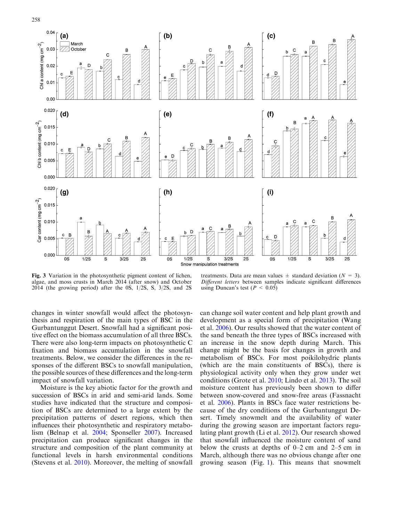<span id="page-7-0"></span>

Fig. 3 Variation in the photosynthetic pigment content of lichen, algae, and moss crusts in March 2014 (after snow) and October 2014 (the growing period) after the 0S, 1/2S, S, 3/2S, and 2S

treatments. Data are mean values  $\pm$  standard deviation ( $N = 3$ ). Different letters between samples indicate significant differences using Duncan's test ( $P < 0.05$ )

changes in winter snowfall would affect the photosynthesis and respiration of the main types of BSC in the Gurbantunggut Desert. Snowfall had a significant positive effect on the biomass accumulation of all three BSCs. There were also long-term impacts on photosynthetic C fixation and biomass accumulation in the snowfall treatments. Below, we consider the differences in the responses of the different BSCs to snowfall manipulation, the possible sources of these differences and the long-term impact of snowfall variation.

Moisture is the key abiotic factor for the growth and succession of BSCs in arid and semi-arid lands. Some studies have indicated that the structure and composition of BSCs are determined to a large extent by the precipitation patterns of desert regions, which then influences their photosynthetic and respiratory metabolism (Belnap et al. [2004](#page-9-0); Sponseller [2007](#page-11-0)). Increased precipitation can produce significant changes in the structure and composition of the plant community at functional levels in harsh environmental conditions (Stevens et al. [2010\)](#page-11-0). Moreover, the melting of snowfall

can change soil water content and help plant growth and development as a special form of precipitation (Wang et al. [2006\)](#page-11-0). Our results showed that the water content of the sand beneath the three types of BSCs increased with an increase in the snow depth during March. This change might be the basis for changes in growth and metabolism of BSCs. For most poikilohydric plants (which are the main constituents of BSCs), there is physiological activity only when they grow under wet conditions (Grote et al. [2010](#page-10-0); Lindo et al. [2013](#page-10-0)). The soil moisture content has previously been shown to differ between snow-covered and snow-free areas (Fassnacht et al. [2006](#page-10-0)). Plants in BSCs face water restrictions because of the dry conditions of the Gurbantunggut Desert. Timely snowmelt and the availability of water during the growing season are important factors regulating plant growth (Li et al. [2012\)](#page-10-0). Our research showed that snowfall influenced the moisture content of sand below the crusts at depths of 0–2 cm and 2–5 cm in March, although there was no obvious change after one growing season (Fig. [1](#page-5-0)). This means that snowmelt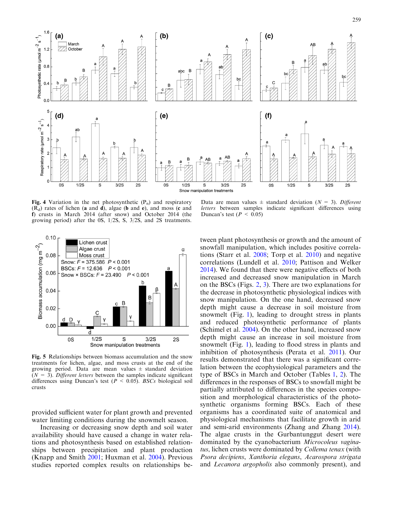<span id="page-8-0"></span>

Fig. 4 Variation in the net photosynthetic  $(P_n)$  and respiratory  $(R_d)$  rates of lichen (a and d), algae (b and e), and moss (c and f) crusts in March 2014 (after snow) and October 2014 (the growing period) after the 0S, 1/2S, S, 3/2S, and 2S treatments.

Data are mean values  $\pm$  standard deviation ( $N = 3$ ). Different letters between samples indicate significant differences using Duncan's test ( $P < 0.05$ )



Fig. 5 Relationships between biomass accumulation and the snow treatments for lichen, algae, and moss crusts at the end of the growing period. Data are mean values  $\pm$  standard deviation  $(N = 3)$ . Different letters between the samples indicate significant differences using Duncan's test ( $P < 0.05$ ). BSCs biological soil crusts

provided sufficient water for plant growth and prevented water limiting conditions during the snowmelt season.

Increasing or decreasing snow depth and soil water availability should have caused a change in water relations and photosynthesis based on established relationships between precipitation and plant production (Knapp and Smith [2001](#page-10-0); Huxman et al. [2004](#page-10-0)). Previous studies reported complex results on relationships be-

tween plant photosynthesis or growth and the amount of snowfall manipulation, which includes positive correlations (Starr et al. [2008](#page-11-0); Torp et al. [2010\)](#page-11-0) and negative correlations (Lundell et al. [2010;](#page-10-0) Pattison and Welker [2014\)](#page-11-0). We found that there were negative effects of both increased and decreased snow manipulation in March on the BSCs (Figs. [2](#page-6-0), [3\)](#page-7-0). There are two explanations for the decrease in photosynthetic physiological indices with snow manipulation. On the one hand, decreased snow depth might cause a decrease in soil moisture from snowmelt (Fig. [1\)](#page-5-0), leading to drought stress in plants and reduced photosynthetic performance of plants (Schimel et al. [2004\)](#page-11-0). On the other hand, increased snow depth might cause an increase in soil moisture from snowmelt (Fig. [1\)](#page-5-0), leading to flood stress in plants and inhibition of photosynthesis (Perata et al. [2011\)](#page-11-0). Our results demonstrated that there was a significant correlation between the ecophysiological parameters and the type of BSCs in March and October (Tables [1](#page-4-0), [2](#page-4-0)). The differences in the responses of BSCs to snowfall might be partially attributed to differences in the species composition and morphological characteristics of the photosynthetic organisms forming BSCs. Each of these organisms has a coordinated suite of anatomical and physiological mechanisms that facilitate growth in arid and semi-arid environments (Zhang and Zhang [2014\)](#page-11-0). The algae crusts in the Gurbantunggut desert were dominated by the cyanobacterium Microcoleus vaginatus, lichen crusts were dominated by Collema tenax (with Psora decipiens, Xanthoria elegans, Acarospora strigata and Lecanora argopholis also commonly present), and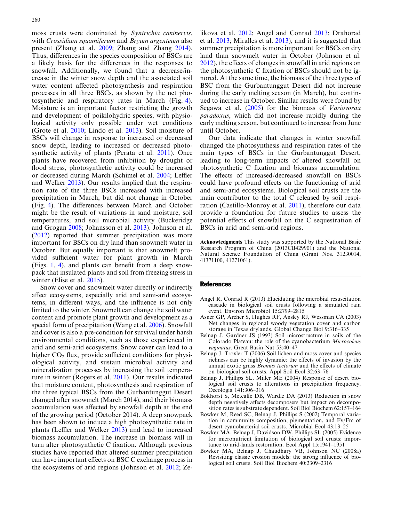<span id="page-9-0"></span>moss crusts were dominated by Syntrichia caninervis, with *Crossidium squamiferum* and *Bryum argenteum* also present (Zhang et al. [2009;](#page-11-0) Zhang and Zhang [2014\)](#page-11-0). Thus, differences in the species composition of BSCs are a likely basis for the differences in the responses to snowfall. Additionally, we found that a decrease/increase in the winter snow depth and the associated soil water content affected photosynthesis and respiration processes in all three BSCs, as shown by the net photosynthetic and respiratory rates in March (Fig. [4\)](#page-8-0). Moisture is an important factor restricting the growth and development of poikilohydric species, with physiological activity only possible under wet conditions (Grote et al. [2010;](#page-10-0) Lindo et al. [2013\)](#page-10-0). Soil moisture of BSCs will change in response to increased or decreased snow depth, leading to increased or decreased photosynthetic activity of plants (Perata et al. [2011\)](#page-11-0). Once plants have recovered from inhibition by drought or flood stress, photosynthetic activity could be increased or decreased during March (Schimel et al. [2004;](#page-11-0) Leffler and Welker [2013](#page-10-0)). Our results implied that the respiration rate of the three BSCs increased with increased precipitation in March, but did not change in October (Fig. [4](#page-8-0)). The differences between March and October might be the result of variations in sand moisture, soil temperatures, and soil microbial activity (Buckeridge and Grogan [2008](#page-10-0); Johansson et al. [2013](#page-10-0)). Johnson et al. ([2012\)](#page-10-0) reported that summer precipitation was more important for BSCs on dry land than snowmelt water in October. But equally important is that snowmelt provided sufficient water for plant growth in March (Figs. [1](#page-5-0), [4](#page-8-0)), and plants can benefit from a deep snowpack that insulated plants and soil from freezing stress in winter (Elise et al. [2015\)](#page-10-0).

Snow cover and snowmelt water directly or indirectly affect ecosystems, especially arid and semi-arid ecosystems, in different ways, and the influence is not only limited to the winter. Snowmelt can change the soil water content and promote plant growth and development as a special form of precipitation (Wang et al. [2006\)](#page-11-0). Snowfall and cover is also a pre-condition for survival under harsh environmental conditions, such as those experienced in arid and semi-arid ecosystems. Snow cover can lead to a higher  $CO<sub>2</sub>$  flux, provide sufficient conditions for physiological activity, and sustain microbial activity and mineralization processes by increasing the soil temperature in winter (Rogers et al. [2011](#page-11-0)). Our results indicated that moisture content, photosynthesis and respiration of the three typical BSCs from the Gurbantunggut Desert changed after snowmelt (March 2014), and their biomass accumulation was affected by snowfall depth at the end of the growing period (October 2014). A deep snowpack has been shown to induce a high photosynthetic rate in plants (Leffler and Welker [2013](#page-10-0)) and lead to increased biomass accumulation. The increase in biomass will in turn alter photosynthetic C fixation. Although previous studies have reported that altered summer precipitation can have important effects on BSC C exchange process in the ecosystems of arid regions (Johnson et al. [2012](#page-10-0); Zelikova et al. [2012;](#page-11-0) Angel and Conrad 2013; Drahorad et al. [2013](#page-10-0); Miralles et al. [2013\)](#page-11-0), and it is suggested that summer precipitation is more important for BSCs on dry land than snowmelt water in October (Johnson et al. [2012\)](#page-10-0), the effects of changes in snowfall in arid regions on the photosynthetic C fixation of BSCs should not be ignored. At the same time, the biomass of the three types of BSC from the Gurbantunggut Desert did not increase during the early melting season (in March), but continued to increase in October. Similar results were found by Segawa et al. [\(2005\)](#page-11-0) for the biomass of Variovorax paradoxus, which did not increase rapidly during the early melting season, but continued to increase from June until October.

Our data indicate that changes in winter snowfall changed the photosynthesis and respiration rates of the main types of BSCs in the Gurbantunggut Desert, leading to long-term impacts of altered snowfall on photosynthetic C fixation and biomass accumulation. The effects of increased/decreased snowfall on BSCs could have profound effects on the functioning of arid and semi-arid ecosystems. Biological soil crusts are the main contributor to the total C released by soil respiration (Castillo-Monroy et al. [2011\)](#page-10-0), therefore our data provide a foundation for future studies to assess the potential effects of snowfall on the C sequestration of BSCs in arid and semi-arid regions.

Acknowledgments This study was supported by the National Basic Research Program of China (2013CB429901) and the National Natural Science Foundation of China (Grant Nos. 31230014, 41371100, 41271061).

#### References

- Angel R, Conrad R (2013) Elucidating the microbial resuscitation cascade in biological soil crusts following a simulated rain event. Environ Microbiol 15:2799–2815
- Asner GP, Archer S, Hughes RF, Ansley RJ, Wessman CA (2003) Net changes in regional woody vegetation cover and carbon storage in Texas drylands. Global Change Biol 9:316–335
- Belnap J, Gardner JS (1993) Soil microstructure in soils of the Colorado Plateau: the role of the cyanobacterium Microcoleus vaginatus. Great Basin Nat 53:40–47
- Belnap J, Troxler T (2006) Soil lichen and moss cover and species richness can be highly dynamic: the effects of invasion by the annual exotic grass Bromus tectorum and the effects of climate on biological soil crusts. Appl Soil Ecol 32:63–76
- Belnap J, Phillips SL, Miller ME (2004) Response of desert biological soil crusts to alterations in precipitation frequency. Oecologia 141:306–316
- Bokhorst S, Metcalfe DB, Wardle DA (2013) Reduction in snow depth negatively affects decomposers but impact on decomposition rates is substrate dependent. Soil Biol Biochem 62:157–164
- Bowker M, Reed SC, Belnap J, Phillips S (2002) Temporal variation in community composition, pigmentation, and Fv/Fm of desert cyanobacterial soil crusts. Microbial Ecol 43:13–25
- Bowker MA, Belnap J, Davidson DW, Phillips SL (2005) Evidence for micronutrient limitation of biological soil crusts: importance to arid-lands restoration. Ecol Appl 15:1941–1951
- Bowker MA, Belnap J, Chaudhary VB, Johnson NC (2008a) Revisiting classic erosion models: the strong influence of biological soil crusts. Soil Biol Biochem 40:2309–2316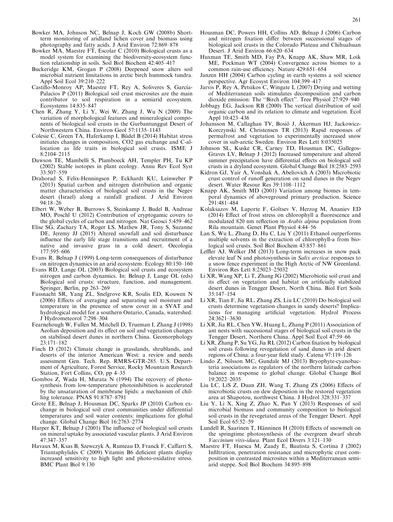- <span id="page-10-0"></span>Bowker MA, Johnson NC, Belnap J, Koch GW (2008b) Shortterm monitoring of aridland lichen cover and biomass using photography and fatty acids. J Arid Environ 72:869–878
- Bowker MA, Maestre FT, Escolar C (2010) Biological crusts as a model system for examining the biodiversity-ecosystem function relationship in soils. Soil Biol Biochem 42:405–417
- Buckeridge KM, Grogan P (2008) Deepened snow alters soil microbial nutrient limitations in arctic birch hummock tundra. Appl Soil Ecol 39:210–222
- Castillo-Monroy AP, Maestre FT, Rey A, Soliveres S, García-Palacios P (2011) Biological soil crust microsites are the main contributor to soil respiration in a semiarid ecosystem. Ecosystems 14:835–847
- Chen R, Zhang Y, Li Y, Wei W, Zhang J, Wu N (2009) The variation of morphological features and mineralogical components of biological soil crusts in the Gurbantunggut Desert of Northwestern China. Environ Geol 57:1135–1143
- Colesie C, Green TA, Haferkamp I, Büdel B (2014) Habitat stress initiates changes in composition, CO2 gas exchange and C-allocation as life traits in biological soil crusts. ISME J 8:2104–2115
- Dawson TE, Mambelli S, Plamboeck AH, Templer PH, Tu KP (2002) Stable isotopes in plant ecology. Annu Rev Ecol Syst 33:507–559
- Drahorad S, Felix-Henningsen P, Eckhardt KU, Leinweber P (2013) Spatial carbon and nitrogen distribution and organic matter characteristics of biological soil crusts in the Negev desert (Israel) along a rainfall gradient. J Arid Environ 94:18–26
- Elbert W, Weber B, Burrows S, Steinkamp J, Budel B, Andreae MO, Poschl U (2012) Contribution of cryptogamic covers to the global cycles of carbon and nitrogen. Nat Geosci 5:459–462
- Elise SG, Zachary TA, Roger LS, Mathew JR, Tony S, Suzanne DE, Jeremy JJ (2015) Altered snowfall and soil disturbance influence the early life stage transitions and recruitment of a native and invasive grass in a cold desert. Oecologia 177:595–606
- Evans R, Belnap J (1999) Long-term consequences of disturbance on nitrogen dynamics in an arid ecosystem. Ecology 80:150–160
- Evans RD, Lange OL (2003) Biological soil crusts and ecosystem nitrogen and carbon dynamics. In: Belnap J, Lange OL (eds) Biological soil crusts: structure, function, and management. Springer, Berlin, pp 263–269
- Fassnacht SR, Yang ZL, Snelgrove KR, Soulis ED, Kouwen N (2006) Effects of averaging and separating soil moisture and temperature in the presence of snow cover in a SVAT and hydrological model for a southern Ontario, Canada, watershed. J Hydrometeorol 7:298–304
- Fearnehough W, Fullen M, Mitchell D, Trueman I, Zhang J (1998) Aeolian deposition and its effect on soil and vegetation changes on stabilised desert dunes in northern China. Geomorphology 23:171–182
- Finch D (2012) Climate change in grasslands, shrublands, and deserts of the interior American West: a review and needs assessment Gen. Tech. Rep. RMRS-GTR-285. U.S. Department of Agriculture, Forest Service, Rocky Mountain Research Station, Fort Collins, CO, pp 4–35
- Gombos Z, Wada H, Murata N (1994) The recovery of photosynthesis from low-temperature photoinhibition is accelerated by the unsaturation of membrane lipids: a mechanism of chilling tolerance. PNAS 91:8787–8791
- Grote EE, Belnap J, Housman DC, Sparks JP (2010) Carbon exchange in biological soil crust communities under differential temperatures and soil water contents: implications for global change. Global Change Biol 16:2763–2774
- Harper KT, Belnap J (2001) The influence of biological soil crusts on mineral uptake by associated vascular plants. J Arid Environ 47:347–357
- Havaux M, Ksas B, Szewczyk A, Rumeau D, Franck F, Caffarri S, Triantaphylide`s C (2009) Vitamin B6 deficient plants display increased sensitivity to high light and photo-oxidative stress. BMC Plant Biol 9:130
- Housman DC, Powers HH, Collins AD, Belnap J (2006) Carbon and nitrogen fixation differ between successional stages of biological soil crusts in the Colorado Plateau and Chihuahuan Desert. J Arid Environ 66:620–634
- Huxman TE, Smith MD, Fay PA, Knapp AK, Shaw MR, Loik ME, Pockman WT (2004) Convergence across biomes to a common rain-use efficiency. Nature 429:651–654
- Janzen HH (2004) Carbon cycling in earth systems a soil science perspective. Agr Ecosyst Environ 104:399–417
- Jarvis P, Rey A, Petsikos C, Wingate L (2007) Drying and wetting of Mediterranean soils stimulates decomposition and carbon dioxide emission: The ''Birch effect''. Tree Physiol 27:929–940
- Jobbagy EG, Jackson RB (2000) The vertical distribution of soil organic carbon and its relation to climate and vegetation. Ecol Appl 10:423–436
- Johansson M, Callaghan TV, Bosiö J, Åkerman HJ, Jackowicz-Korczynski M, Christensen TR (2013) Rapid responses of permafrost and vegetation to experimentally increased snow cover in sub-arctic Sweden. Environ Res Lett 8:035025
- Johnson SL, Kuske CR, Carney TD, Housman DC, Gallegos-Graves LV, Belnap J (2012) Increased temperature and altered summer precipitation have differential effects on biological soil crusts in a dryland ecosystem. Global Change Biol 18:2583–2593
- Kidron GJ, Yair A, Vonshak A, Abeliovich A (2003) Microbiotic crust control of runoff generation on sand dunes in the Negev desert. Water Resour Res 39:1108–1112
- Knapp AK, Smith MD (2001) Variation among biomes in temporal dynamics of aboveground primary production. Science 291:481–484
- Kolaksazov M, Laporte F, Goltsev V, Herzog M, Ananiev ED (2014) Effect of frost stress on chlorophyll a fluorescence and modulated 820 nm reflection in Arabis alpina population from Rila mountain. Genet Plant Physiol 4:44–56
- Lan S, Wu L, Zhang D, Hu C, Liu Y (2011) Ethanol outperforms multiple solvents in the extraction of chlorophyll-a from biological soil crusts. Soil Biol Biochem 43:857–861
- Leffler AJ, Welker JM (2013) Long-term increases in snow pack elevate leaf N and photosynthesis in Salix arctica: responses to a snow fence experiment in the High Arctic of NW Greenland. Environ Res Lett 8:25023–25032
- Li XR, Wang XP, Li T, Zhang JG (2002) Microbiotic soil crust and its effect on vegetation and habitat on artificially stabilized desert dunes in Tengger Desert, North China. Biol Fert Soils 35:147–154
- Li XR, Tian F, Jia RL, Zhang ZS, Liu LC (2010) Do biological soil crusts determine vegetation changes in sandy deserts? Implications for managing artificial vegetation. Hydrol Process 24:3621–3630
- Li XR, Jia RL, Chen YW, Huang L, Zhang P (2011) Association of ant nests with successional stages of biological soil crusts in the Tengger Desert, Northern China. Appl Soil Ecol 47:59–66
- Li XR, Zhang P, Su YG, Jia RL (2012) Carbon fixation by biological soil crusts following revegetation of sand dunes in arid desert regions of China: a four-year field study. Catena 97:119–126
- Lindo Z, Nilsson MC, Gundale MJ (2013) Bryophyte-cyanobacteria associations as regulators of the northern latitude carbon balance in response to global change. Global Change Biol 19:2022–2035
- Liu LC, LiS Z, Duan ZH, Wang T, Zhang ZS (2006) Effects of microbiotic crusts on dew deposition in the restored vegetation area at Shapotou, northwest China. J Hydrol 328:331–337
- Liu Y, Li X, Xing Z, Zhao X, Pan Y (2013) Responses of soil microbial biomass and community composition to biological soil crusts in the revegetated areas of the Tengger Desert. Appl Soil Ecol 65:52–59
- Lundell R, Saarinen T, Hänninen H (2010) Effects of snowmelt on the springtime photosynthesis of the evergreen dwarf shrub Vaccinium vitis-idaea. Plant Ecol Divers 3:121–130
- Maestre FT, Huesca M, Zaady E, Bautista S, Cortina J (2002) Infiltration, penetration resistance and microphytic crust composition in contrasted microsites within a Mediterranean semiarid steppe. Soil Biol Biochem 34:895–898